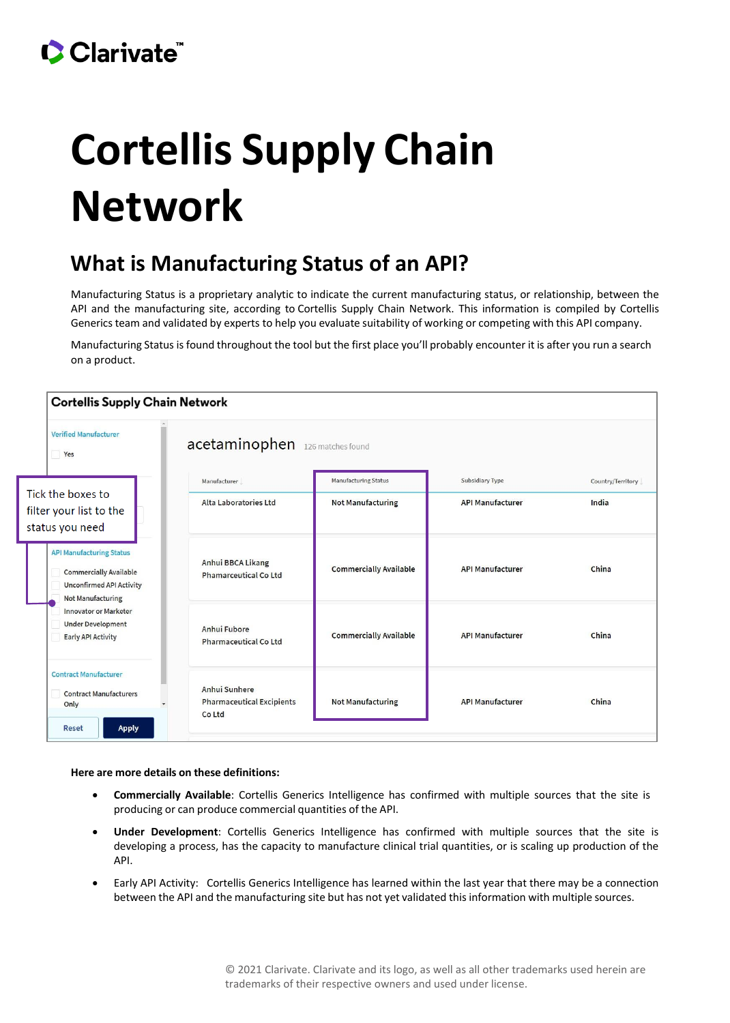## **Cortellis Supply Chain Network**

## **What is Manufacturing Status of an API?**

Manufacturing Status is a proprietary analytic to indicate the current manufacturing status, or relationship, between the API and the manufacturing site, according to Cortellis Supply Chain Network. This information is compiled by Cortellis Generics team and validated by experts to help you evaluate suitability of working or competing with this API company.

Manufacturing Status is found throughout the tool but the first place you'll probably encounter it is after you run a search on a product.



## **Here are more details on these definitions:**

- **Commercially Available**: Cortellis Generics Intelligence has confirmed with multiple sources that the site is producing or can produce commercial quantities of the API.
- **Under Development**: Cortellis Generics Intelligence has confirmed with multiple sources that the site is developing a process, has the capacity to manufacture clinical trial quantities, or is scaling up production of the API.
- Early API Activity: Cortellis Generics Intelligence has learned within the last year that there may be a connection between the API and the manufacturing site but has not yet validated this information with multiple sources.

© 2021 Clarivate. Clarivate and its logo, as well as all other trademarks used herein are trademarks of their respective owners and used under license.